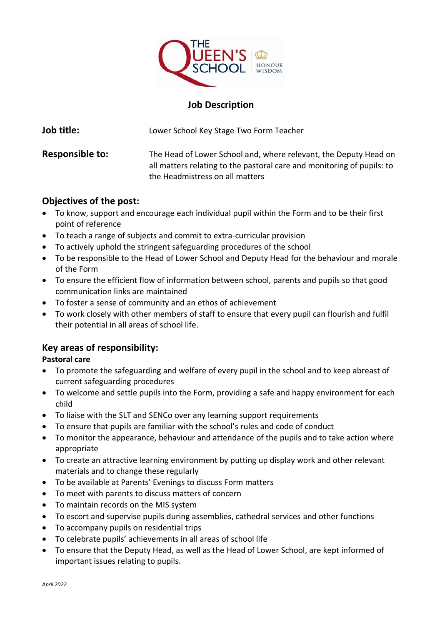

# **Job Description**

| Job title:             | Lower School Key Stage Two Form Teacher                                                                                                                                       |
|------------------------|-------------------------------------------------------------------------------------------------------------------------------------------------------------------------------|
| <b>Responsible to:</b> | The Head of Lower School and, where relevant, the Deputy Head on<br>all matters relating to the pastoral care and monitoring of pupils: to<br>the Headmistress on all matters |

## **Objectives of the post:**

- To know, support and encourage each individual pupil within the Form and to be their first point of reference
- To teach a range of subjects and commit to extra-curricular provision
- To actively uphold the stringent safeguarding procedures of the school
- To be responsible to the Head of Lower School and Deputy Head for the behaviour and morale of the Form
- To ensure the efficient flow of information between school, parents and pupils so that good communication links are maintained
- To foster a sense of community and an ethos of achievement
- To work closely with other members of staff to ensure that every pupil can flourish and fulfil their potential in all areas of school life.

## **Key areas of responsibility:**

### **Pastoral care**

- To promote the safeguarding and welfare of every pupil in the school and to keep abreast of current safeguarding procedures
- To welcome and settle pupils into the Form, providing a safe and happy environment for each child
- To liaise with the SLT and SENCo over any learning support requirements
- To ensure that pupils are familiar with the school's rules and code of conduct
- To monitor the appearance, behaviour and attendance of the pupils and to take action where appropriate
- To create an attractive learning environment by putting up display work and other relevant materials and to change these regularly
- To be available at Parents' Evenings to discuss Form matters
- To meet with parents to discuss matters of concern
- To maintain records on the MIS system
- To escort and supervise pupils during assemblies, cathedral services and other functions
- To accompany pupils on residential trips
- To celebrate pupils' achievements in all areas of school life
- To ensure that the Deputy Head, as well as the Head of Lower School, are kept informed of important issues relating to pupils.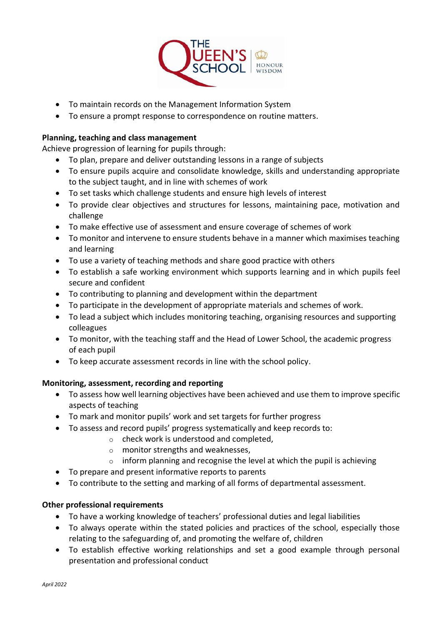

- To maintain records on the Management Information System
- To ensure a prompt response to correspondence on routine matters.

### **Planning, teaching and class management**

Achieve progression of learning for pupils through:

- To plan, prepare and deliver outstanding lessons in a range of subjects
- To ensure pupils acquire and consolidate knowledge, skills and understanding appropriate to the subject taught, and in line with schemes of work
- To set tasks which challenge students and ensure high levels of interest
- To provide clear objectives and structures for lessons, maintaining pace, motivation and challenge
- To make effective use of assessment and ensure coverage of schemes of work
- To monitor and intervene to ensure students behave in a manner which maximises teaching and learning
- To use a variety of teaching methods and share good practice with others
- To establish a safe working environment which supports learning and in which pupils feel secure and confident
- To contributing to planning and development within the department
- To participate in the development of appropriate materials and schemes of work.
- To lead a subject which includes monitoring teaching, organising resources and supporting colleagues
- To monitor, with the teaching staff and the Head of Lower School, the academic progress of each pupil
- To keep accurate assessment records in line with the school policy.

### **Monitoring, assessment, recording and reporting**

- To assess how well learning objectives have been achieved and use them to improve specific aspects of teaching
- To mark and monitor pupils' work and set targets for further progress
- To assess and record pupils' progress systematically and keep records to:
	- o check work is understood and completed,
		- o monitor strengths and weaknesses,
	- $\circ$  inform planning and recognise the level at which the pupil is achieving
- To prepare and present informative reports to parents
- To contribute to the setting and marking of all forms of departmental assessment.

### **Other professional requirements**

- To have a working knowledge of teachers' professional duties and legal liabilities
- To always operate within the stated policies and practices of the school, especially those relating to the safeguarding of, and promoting the welfare of, children
- To establish effective working relationships and set a good example through personal presentation and professional conduct